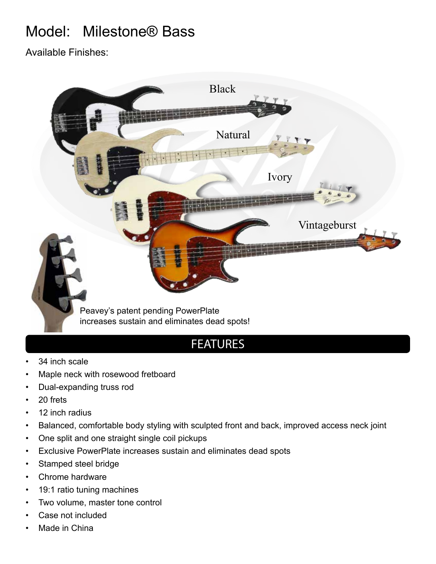# Model: Milestone® Bass

Available Finishes:



# FEATURES

- 34 inch scale
- Maple neck with rosewood fretboard
- Dual-expanding truss rod
- 20 frets
- 12 inch radius
- Balanced, comfortable body styling with sculpted front and back, improved access neck joint
- One split and one straight single coil pickups
- Exclusive PowerPlate increases sustain and eliminates dead spots
- Stamped steel bridge
- Chrome hardware
- 19:1 ratio tuning machines
- Two volume, master tone control
- Case not included
- Made in China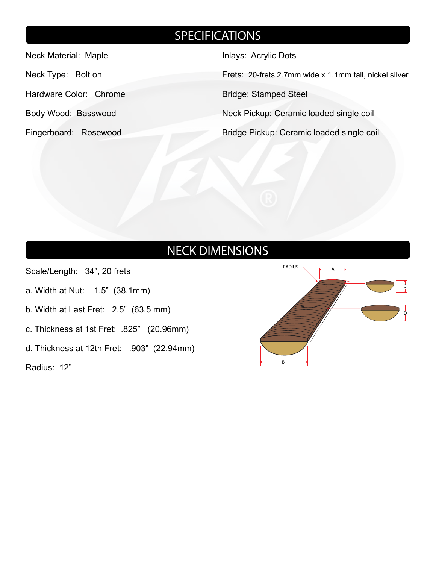# **SPECIFICATIONS**

Neck Material: Maple

Neck Type: Bolt on

Hardware Color: Chrome

- Body Wood: Basswood
- Fingerboard: Rosewood

Inlays: Acrylic Dots

Frets: 20-frets 2.7mm wide x 1.1mm tall, nickel silver

Bridge: Stamped Steel

Neck Pickup: Ceramic loaded single coil

Bridge Pickup: Ceramic loaded single coil

# NECK DIMENSIONS

Scale/Length: 34", 20 frets

- a. Width at Nut: 1.5" (38.1mm)
- b. Width at Last Fret: 2.5" (63.5 mm)
- c. Thickness at 1st Fret: .825" (20.96mm)
- d. Thickness at 12th Fret: .903" (22.94mm)

Radius: 12"